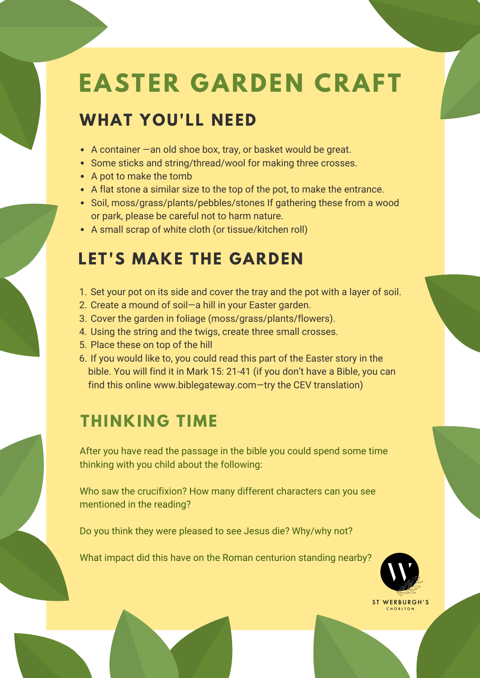# **EASTER GARDEN CRAFT**

### **WHAT YOU'LL NEED**

- A container —an old shoe box, tray, or basket would be great.
- Some sticks and string/thread/wool for making three crosses.
- A pot to make the tomb
- A flat stone a similar size to the top of the pot, to make the entrance.
- Soil, moss/grass/plants/pebbles/stones If gathering these from a wood or park, please be careful not to harm nature.
- A small scrap of white cloth (or tissue/kitchen roll)

## **LET'S MAKE THE GARDEN**

- 1. Set your pot on its side and cover the tray and the pot with a layer of soil.
- 2. Create a mound of soil—a hill in your Easter garden.
- 3. Cover the garden in foliage (moss/grass/plants/flowers).
- 4. Using the string and the twigs, create three small crosses.
- 5. Place these on top of the hill
- 6. If you would like to, you could read this part of the Easter story in the bible. You will find it in Mark 15: 21-41 (if you don't have a Bible, you can find this online www.biblegateway.com—try the CEV translation)

#### **THINKING TIME**

After you have read the passage in the bible you could spend some time thinking with you child about the following:

Who saw the crucifixion? How many different characters can you see mentioned in the reading?

Do you think they were pleased to see Jesus die? Why/why not?

What impact did this have on the Roman centurion standing nearby?